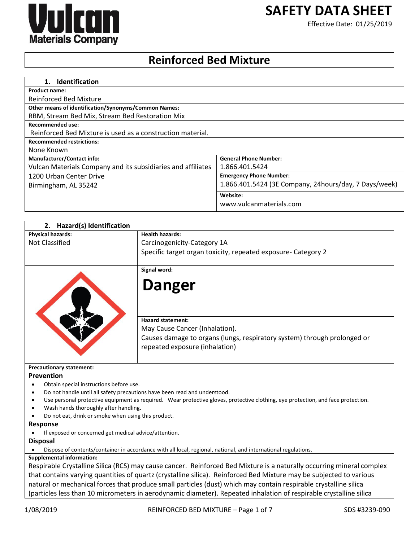

# **SAFETY DATA SHEET**

Effective Date: 01/25/2019

# **Reinforced Bed Mixture**

| <b>Identification</b><br>1.                                  |                                                       |
|--------------------------------------------------------------|-------------------------------------------------------|
| <b>Product name:</b>                                         |                                                       |
| <b>Reinforced Bed Mixture</b>                                |                                                       |
| <b>Other means of identification/Synonyms/Common Names:</b>  |                                                       |
| RBM, Stream Bed Mix, Stream Bed Restoration Mix              |                                                       |
| Recommended use:                                             |                                                       |
| Reinforced Bed Mixture is used as a construction material.   |                                                       |
| <b>Recommended restrictions:</b>                             |                                                       |
| None Known                                                   |                                                       |
| <b>Manufacturer/Contact info:</b>                            | <b>General Phone Number:</b>                          |
| Vulcan Materials Company and its subsidiaries and affiliates | 1.866.401.5424                                        |
| 1200 Urban Center Drive                                      | <b>Emergency Phone Number:</b>                        |
| Birmingham, AL 35242                                         | 1.866.401.5424 (3E Company, 24hours/day, 7 Days/week) |
|                                                              | Website:                                              |
|                                                              | www.vulcanmaterials.com                               |

| Hazard(s) Identification<br>2.                      |                                                                                                                                                                          |
|-----------------------------------------------------|--------------------------------------------------------------------------------------------------------------------------------------------------------------------------|
| <b>Physical hazards:</b>                            | <b>Health hazards:</b>                                                                                                                                                   |
| <b>Not Classified</b>                               | Carcinogenicity-Category 1A                                                                                                                                              |
|                                                     | Specific target organ toxicity, repeated exposure- Category 2                                                                                                            |
|                                                     | Signal word:                                                                                                                                                             |
|                                                     | <b>Danger</b>                                                                                                                                                            |
|                                                     | <b>Hazard statement:</b><br>May Cause Cancer (Inhalation).<br>Causes damage to organs (lungs, respiratory system) through prolonged or<br>repeated exposure (inhalation) |
| <b>Precautionary statement:</b>                     |                                                                                                                                                                          |
| Prevention                                          |                                                                                                                                                                          |
| Obtain special instructions before use.             |                                                                                                                                                                          |
| ٠                                                   | Do not handle until all safety precautions have been read and understood.                                                                                                |
| ٠                                                   | Use personal protective equipment as required. Wear protective gloves, protective clothing, eye protection, and face protection.                                         |
| Wash hands thoroughly after handling.               |                                                                                                                                                                          |
| Do not eat, drink or smoke when using this product. |                                                                                                                                                                          |
| <b>Response</b>                                     |                                                                                                                                                                          |

If exposed or concerned get medical advice/attention.

**Disposal**

Dispose of contents/container in accordance with all local, regional, national, and international regulations.

# **Supplemental information:**

Respirable Crystalline Silica (RCS) may cause cancer. Reinforced Bed Mixture is a naturally occurring mineral complex that contains varying quantities of quartz (crystalline silica). Reinforced Bed Mixture may be subjected to various natural or mechanical forces that produce small particles (dust) which may contain respirable crystalline silica (particles less than 10 micrometers in aerodynamic diameter). Repeated inhalation of respirable crystalline silica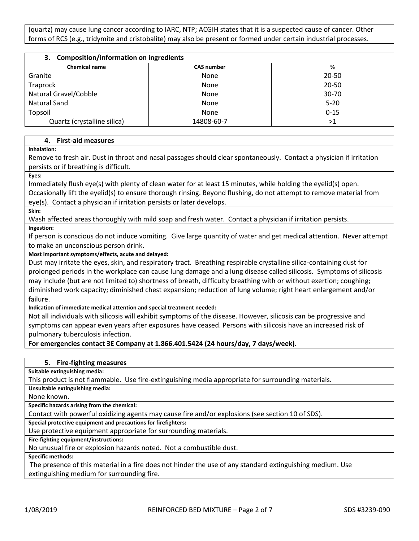(quartz) may cause lung cancer according to IARC, NTP; ACGIH states that it is a suspected cause of cancer. Other forms of RCS (e.g., tridymite and cristobalite) may also be present or formed under certain industrial processes.

| 3. Composition/information on ingredients |                   |           |  |
|-------------------------------------------|-------------------|-----------|--|
| <b>Chemical name</b>                      | <b>CAS number</b> | %         |  |
| Granite                                   | None              | $20 - 50$ |  |
| Traprock                                  | None              | $20 - 50$ |  |
| Natural Gravel/Cobble                     | None              | $30 - 70$ |  |
| <b>Natural Sand</b>                       | None              | $5 - 20$  |  |
| Topsoil                                   | None              | $0 - 15$  |  |
| Quartz (crystalline silica)               | 14808-60-7        | >1        |  |

#### **4. First-aid measures**

**Inhalation:** 

Remove to fresh air. Dust in throat and nasal passages should clear spontaneously. Contact a physician if irritation persists or if breathing is difficult.

**Eyes:** 

Immediately flush eye(s) with plenty of clean water for at least 15 minutes, while holding the eyelid(s) open. Occasionally lift the eyelid(s) to ensure thorough rinsing. Beyond flushing, do not attempt to remove material from eye(s). Contact a physician if irritation persists or later develops.

**Skin:** 

Wash affected areas thoroughly with mild soap and fresh water. Contact a physician if irritation persists.

**Ingestion:** 

If person is conscious do not induce vomiting. Give large quantity of water and get medical attention. Never attempt to make an unconscious person drink.

**Most important symptoms/effects, acute and delayed:**

Dust may irritate the eyes, skin, and respiratory tract. Breathing respirable crystalline silica-containing dust for prolonged periods in the workplace can cause lung damage and a lung disease called silicosis. Symptoms of silicosis may include (but are not limited to) shortness of breath, difficulty breathing with or without exertion; coughing; diminished work capacity; diminished chest expansion; reduction of lung volume; right heart enlargement and/or failure.

**Indication of immediate medical attention and special treatment needed:**

Not all individuals with silicosis will exhibit symptoms of the disease. However, silicosis can be progressive and symptoms can appear even years after exposures have ceased. Persons with silicosis have an increased risk of pulmonary tuberculosis infection.

**For emergencies contact 3E Company at 1.866.401.5424 (24 hours/day, 7 days/week).**

| 5. Fire-fighting measures                                                                          |
|----------------------------------------------------------------------------------------------------|
| Suitable extinguishing media:                                                                      |
| This product is not flammable. Use fire-extinguishing media appropriate for surrounding materials. |
| Unsuitable extinguishing media:                                                                    |
| None known.                                                                                        |
| Conseille bennade natchen fanno the shearetect.                                                    |

**Specific hazards arising from the chemical:**

Contact with powerful oxidizing agents may cause fire and/or explosions (see section 10 of SDS).

**Special protective equipment and precautions for firefighters:**

Use protective equipment appropriate for surrounding materials.

**Fire-fighting equipment/instructions:**

No unusual fire or explosion hazards noted. Not a combustible dust.

**Specific methods:**

The presence of this material in a fire does not hinder the use of any standard extinguishing medium. Use extinguishing medium for surrounding fire.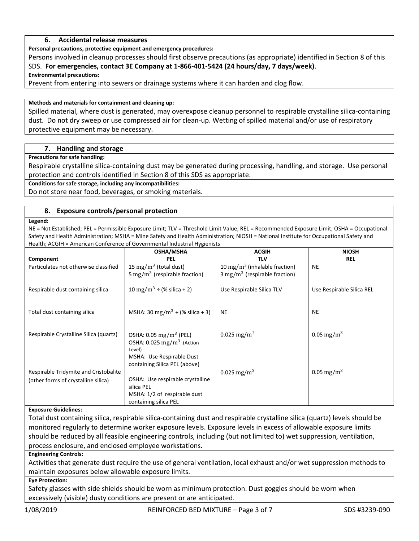#### **6. Accidental release measures**

**Personal precautions, protective equipment and emergency procedures:**

Persons involved in cleanup processes should first observe precautions (as appropriate) identified in Section 8 of this SDS. **For emergencies, contact 3E Company at 1-866-401-5424 (24 hours/day, 7 days/week)**.

#### **Environmental precautions:**

Prevent from entering into sewers or drainage systems where it can harden and clog flow.

#### **Methods and materials for containment and cleaning up:**

Spilled material, where dust is generated, may overexpose cleanup personnel to respirable crystalline silica-containing dust. Do not dry sweep or use compressed air for clean-up. Wetting of spilled material and/or use of respiratory protective equipment may be necessary.

#### **7. Handling and storage**

#### **Precautions for safe handling:**

Respirable crystalline silica-containing dust may be generated during processing, handling, and storage. Use personal protection and controls identified in Section 8 of this SDS as appropriate.

**Conditions for safe storage, including any incompatibilities:**

Do not store near food, beverages, or smoking materials.

#### **8. Exposure controls/personal protection**

#### **Legend:**

NE = Not Established; PEL = Permissible Exposure Limit; TLV = Threshold Limit Value; REL = Recommended Exposure Limit; OSHA = Occupational Safety and Health Administration; MSHA = Mine Safety and Health Administration; NIOSH = National Institute for Occupational Safety and Health; ACGIH = American Conference of Governmental Industrial Hygienists

|                                        | <b>OSHA/MSHA</b>                                                                                                                                        | <b>ACGIH</b>                              | <b>NIOSH</b>              |
|----------------------------------------|---------------------------------------------------------------------------------------------------------------------------------------------------------|-------------------------------------------|---------------------------|
| Component                              | <b>PEL</b>                                                                                                                                              | TLV                                       | <b>REL</b>                |
| Particulates not otherwise classified  | 15 mg/m <sup>3</sup> (total dust)                                                                                                                       | 10 mg/m <sup>3</sup> (inhalable fraction) | <b>NE</b>                 |
|                                        | 5 mg/m <sup>3</sup> (respirable fraction)                                                                                                               | $3 \text{ mg/m}^3$ (respirable fraction)  |                           |
| Respirable dust containing silica      | 10 mg/m <sup>3</sup> ÷ (% silica + 2)                                                                                                                   | Use Respirable Silica TLV                 | Use Respirable Silica REL |
| Total dust containing silica           | MSHA: 30 mg/m <sup>3</sup> ÷ (% silica + 3)                                                                                                             | <b>NE</b>                                 | <b>NE</b>                 |
| Respirable Crystalline Silica (quartz) | OSHA: $0.05 \,\mathrm{mg/m^3}$ (PEL)<br>OSHA: $0.025$ mg/m <sup>3</sup> (Action<br>Level)<br>MSHA: Use Respirable Dust<br>containing Silica PEL (above) | 0.025 mg/m <sup>3</sup>                   | 0.05 mg/m <sup>3</sup>    |
| Respirable Tridymite and Cristobalite  |                                                                                                                                                         | 0.025 mg/m <sup>3</sup>                   | 0.05 mg/m <sup>3</sup>    |
| (other forms of crystalline silica)    | OSHA: Use respirable crystalline                                                                                                                        |                                           |                           |
|                                        | silica PEL                                                                                                                                              |                                           |                           |
|                                        | MSHA: 1/2 of respirable dust                                                                                                                            |                                           |                           |
|                                        | containing silica PEL                                                                                                                                   |                                           |                           |

#### **Exposure Guidelines:**

Total dust containing silica, respirable silica-containing dust and respirable crystalline silica (quartz) levels should be monitored regularly to determine worker exposure levels. Exposure levels in excess of allowable exposure limits should be reduced by all feasible engineering controls, including (but not limited to) wet suppression, ventilation, process enclosure, and enclosed employee workstations.

#### **Engineering Controls:**

Activities that generate dust require the use of general ventilation, local exhaust and/or wet suppression methods to maintain exposures below allowable exposure limits.

#### **Eye Protection:**

Safety glasses with side shields should be worn as minimum protection. Dust goggles should be worn when excessively (visible) dusty conditions are present or are anticipated.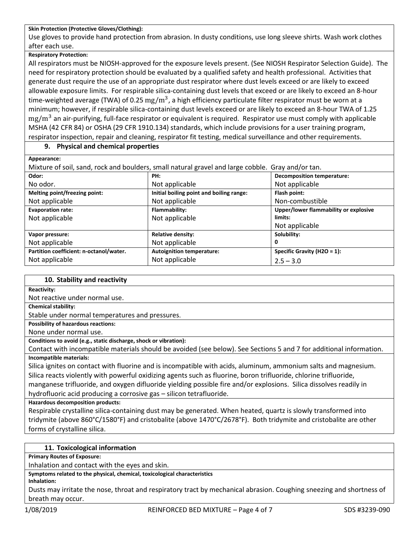#### **Skin Protection (Protective Gloves/Clothing):**

Use gloves to provide hand protection from abrasion. In dusty conditions, use long sleeve shirts. Wash work clothes after each use.

#### **Respiratory Protection:**

All respirators must be NIOSH-approved for the exposure levels present. (See NIOSH Respirator Selection Guide). The need for respiratory protection should be evaluated by a qualified safety and health professional. Activities that generate dust require the use of an appropriate dust respirator where dust levels exceed or are likely to exceed allowable exposure limits. For respirable silica-containing dust levels that exceed or are likely to exceed an 8-hour time-weighted average (TWA) of 0.25  $\rm mg/m^3$ , a high efficiency particulate filter respirator must be worn at a minimum; however, if respirable silica-containing dust levels exceed or are likely to exceed an 8-hour TWA of 1.25  $mg/m^3$  an air-purifying, full-face respirator or equivalent is required. Respirator use must comply with applicable MSHA (42 CFR 84) or OSHA (29 CFR 1910.134) standards, which include provisions for a user training program, respirator inspection, repair and cleaning, respirator fit testing, medical surveillance and other requirements.

# **9. Physical and chemical properties**

**Appearance:**

Mixture of soil, sand, rock and boulders, small natural gravel and large cobble. Gray and/or tan.

| Odor:                                   | PH:                                      | <b>Decomposition temperature:</b>     |  |
|-----------------------------------------|------------------------------------------|---------------------------------------|--|
| No odor.                                | Not applicable                           | Not applicable                        |  |
| Melting point/freezing point:           | Initial boiling point and boiling range: | Flash point:                          |  |
| Not applicable                          | Not applicable                           | Non-combustible                       |  |
| <b>Evaporation rate:</b>                | Flammability:                            | Upper/lower flammability or explosive |  |
| Not applicable                          | Not applicable                           | limits:                               |  |
|                                         |                                          | Not applicable                        |  |
| Vapor pressure:                         | <b>Relative density:</b>                 | Solubility:                           |  |
| Not applicable                          | Not applicable                           | 0                                     |  |
| Partition coefficient: n-octanol/water. | <b>Autoignition temperature:</b>         | Specific Gravity ( $H2O = 1$ ):       |  |
| Not applicable                          | Not applicable                           | $2.5 - 3.0$                           |  |

#### **10. Stability and reactivity**

**Reactivity:**

Not reactive under normal use.

**Chemical stability:**

Stable under normal temperatures and pressures.

**Possibility of hazardous reactions:** 

None under normal use.

**Conditions to avoid (e.g., static discharge, shock or vibration):**

Contact with incompatible materials should be avoided (see below). See Sections 5 and 7 for additional information. **Incompatible materials:**

Silica ignites on contact with fluorine and is incompatible with acids, aluminum, ammonium salts and magnesium. Silica reacts violently with powerful oxidizing agents such as fluorine, boron trifluoride, chlorine trifluoride, manganese trifluoride, and oxygen difluoride yielding possible fire and/or explosions. Silica dissolves readily in hydrofluoric acid producing a corrosive gas – silicon tetrafluoride.

**Hazardous decomposition products:**

Respirable crystalline silica-containing dust may be generated. When heated, quartz is slowly transformed into tridymite (above 860°C/1580°F) and cristobalite (above 1470°C/2678°F). Both tridymite and cristobalite are other forms of crystalline silica.

# **11. Toxicological information**

**Primary Routes of Exposure:**

Inhalation and contact with the eyes and skin.

**Symptoms related to the physical, chemical, toxicological characteristics**

#### **Inhalation:**

Dusts may irritate the nose, throat and respiratory tract by mechanical abrasion. Coughing sneezing and shortness of breath may occur.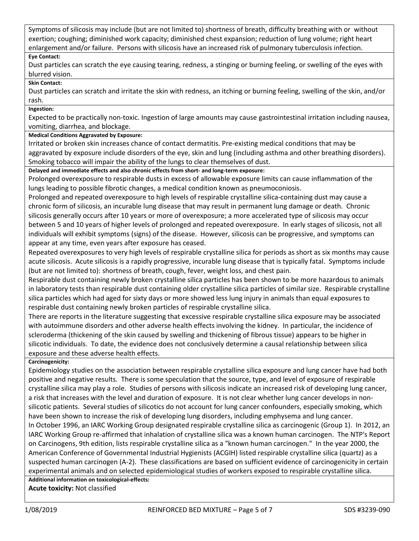Symptoms of silicosis may include (but are not limited to) shortness of breath, difficulty breathing with or without exertion; coughing; diminished work capacity; diminished chest expansion; reduction of lung volume; right heart enlargement and/or failure. Persons with silicosis have an increased risk of pulmonary tuberculosis infection.

# **Eye Contact:**

Dust particles can scratch the eye causing tearing, redness, a stinging or burning feeling, or swelling of the eyes with blurred vision.

#### **Skin Contact:**

Dust particles can scratch and irritate the skin with redness, an itching or burning feeling, swelling of the skin, and/or rash.

# **Ingestion:**

Expected to be practically non-toxic. Ingestion of large amounts may cause gastrointestinal irritation including nausea, vomiting, diarrhea, and blockage.

# **Medical Conditions Aggravated by Exposure:**

Irritated or broken skin increases chance of contact dermatitis. Pre-existing medical conditions that may be aggravated by exposure include disorders of the eye, skin and lung (including asthma and other breathing disorders). Smoking tobacco will impair the ability of the lungs to clear themselves of dust.

#### **Delayed and immediate effects and also chronic effects from short- and long-term exposure:**

Prolonged overexposure to respirable dusts in excess of allowable exposure limits can cause inflammation of the lungs leading to possible fibrotic changes, a medical condition known as pneumoconiosis.

Prolonged and repeated overexposure to high levels of respirable crystalline silica-containing dust may cause a chronic form of silicosis, an incurable lung disease that may result in permanent lung damage or death. Chronic silicosis generally occurs after 10 years or more of overexposure; a more accelerated type of silicosis may occur between 5 and 10 years of higher levels of prolonged and repeated overexposure. In early stages of silicosis, not all individuals will exhibit symptoms (signs) of the disease. However, silicosis can be progressive, and symptoms can appear at any time, even years after exposure has ceased.

Repeated overexposures to very high levels of respirable crystalline silica for periods as short as six months may cause acute silicosis. Acute silicosis is a rapidly progressive, incurable lung disease that is typically fatal. Symptoms include (but are not limited to): shortness of breath, cough, fever, weight loss, and chest pain.

Respirable dust containing newly broken crystalline silica particles has been shown to be more hazardous to animals in laboratory tests than respirable dust containing older crystalline silica particles of similar size. Respirable crystalline silica particles which had aged for sixty days or more showed less lung injury in animals than equal exposures to respirable dust containing newly broken particles of respirable crystalline silica.

There are reports in the literature suggesting that excessive respirable crystalline silica exposure may be associated with autoimmune disorders and other adverse health effects involving the kidney. In particular, the incidence of scleroderma (thickening of the skin caused by swelling and thickening of fibrous tissue) appears to be higher in silicotic individuals. To date, the evidence does not conclusively determine a causal relationship between silica exposure and these adverse health effects.

# **Carcinogenicity:**

Epidemiology studies on the association between respirable crystalline silica exposure and lung cancer have had both positive and negative results. There is some speculation that the source, type, and level of exposure of respirable crystalline silica may play a role. Studies of persons with silicosis indicate an increased risk of developing lung cancer, a risk that increases with the level and duration of exposure. It is not clear whether lung cancer develops in nonsilicotic patients. Several studies of silicotics do not account for lung cancer confounders, especially smoking, which have been shown to increase the risk of developing lung disorders, including emphysema and lung cancer. In October 1996, an IARC Working Group designated respirable crystalline silica as carcinogenic (Group 1). In 2012, an IARC Working Group re-affirmed that inhalation of crystalline silica was a known human carcinogen. The NTP's Report on Carcinogens, 9th edition, lists respirable crystalline silica as a "known human carcinogen." In the year 2000, the American Conference of Governmental Industrial Hygienists (ACGIH) listed respirable crystalline silica (quartz) as a suspected human carcinogen (A-2). These classifications are based on sufficient evidence of carcinogenicity in certain experimental animals and on selected epidemiological studies of workers exposed to respirable crystalline silica.

# **Additional information on toxicological-effects:**

**Acute toxicity:** Not classified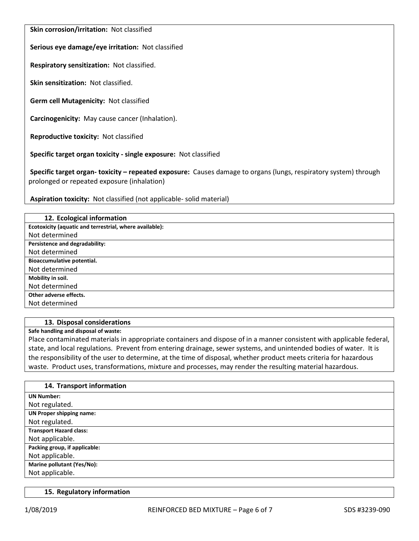**Skin corrosion/irritation:** Not classified

**Serious eye damage/eye irritation:** Not classified

**Respiratory sensitization:** Not classified.

**Skin sensitization:** Not classified.

**Germ cell Mutagenicity:** Not classified

**Carcinogenicity:** May cause cancer (Inhalation).

**Reproductive toxicity:** Not classified

**Specific target organ toxicity - single exposure:** Not classified

**Specific target organ- toxicity – repeated exposure:** Causes damage to organs (lungs, respiratory system) through prolonged or repeated exposure (inhalation)

**Aspiration toxicity:** Not classified (not applicable- solid material)

| 12. Ecological information                              |
|---------------------------------------------------------|
| Ecotoxicity (aquatic and terrestrial, where available): |
| Not determined                                          |
| Persistence and degradability:                          |
| Not determined                                          |
| Bioaccumulative potential.                              |
| Not determined                                          |
| Mobility in soil.                                       |
| Not determined                                          |
| Other adverse effects.                                  |
| Not determined                                          |

#### **13. Disposal considerations**

**Safe handling and disposal of waste:**

Place contaminated materials in appropriate containers and dispose of in a manner consistent with applicable federal, state, and local regulations. Prevent from entering drainage, sewer systems, and unintended bodies of water. It is the responsibility of the user to determine, at the time of disposal, whether product meets criteria for hazardous waste. Product uses, transformations, mixture and processes, may render the resulting material hazardous.

| 14. Transport information       |
|---------------------------------|
| <b>UN Number:</b>               |
| Not regulated.                  |
| <b>UN Proper shipping name:</b> |
| Not regulated.                  |
| <b>Transport Hazard class:</b>  |
| Not applicable.                 |
| Packing group, if applicable:   |
| Not applicable.                 |
| Marine pollutant (Yes/No):      |
| Not applicable.                 |

#### **15. Regulatory information**